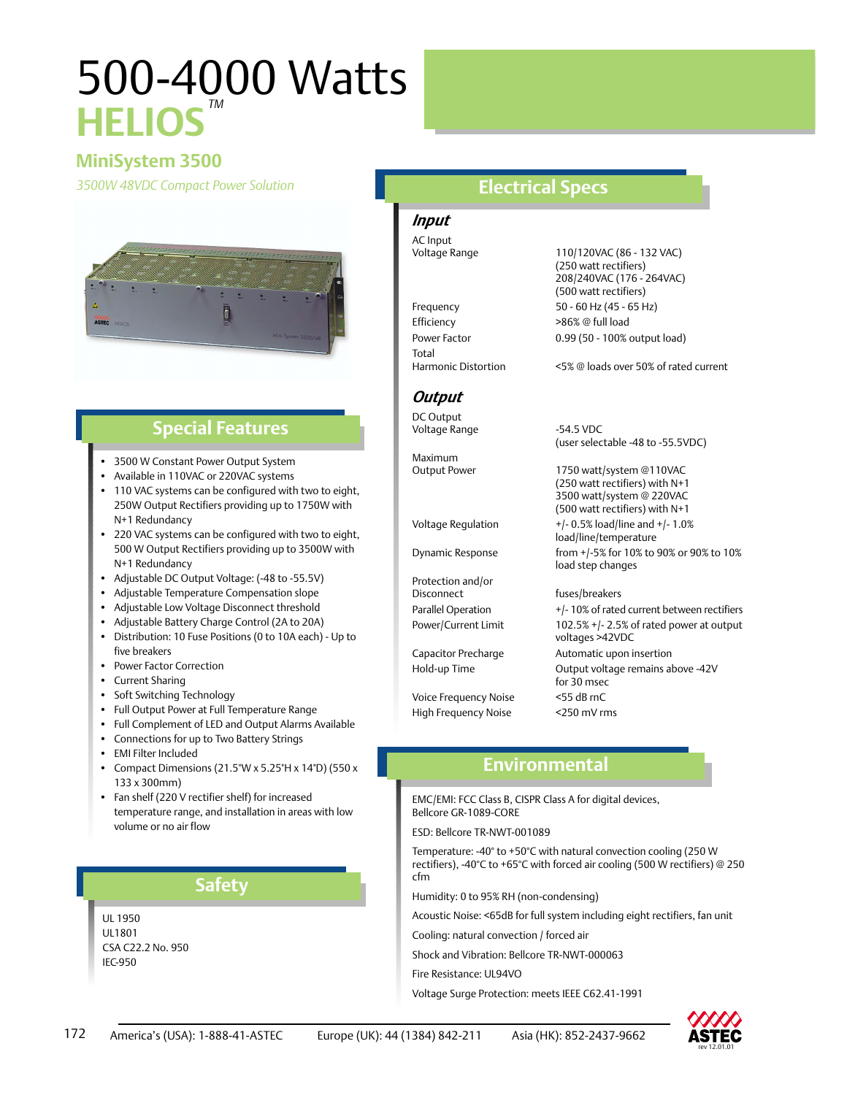# 500-4000 Watts **HELIOS** *TM*

## **MiniSystem 3500**

*3500W 48VDC Compact Power Solution* **Electrical Specs**



### **Special Features**

- 3500 W Constant Power Output System
- Available in 110VAC or 220VAC systems
- 110 VAC systems can be configured with two to eight, 250W Output Rectifiers providing up to 1750W with N+1 Redundancy
- 220 VAC systems can be configured with two to eight, 500 W Output Rectifiers providing up to 3500W with N+1 Redundancy
- Adjustable DC Output Voltage: (-48 to -55.5V)
- Adjustable Temperature Compensation slope
- Adjustable Low Voltage Disconnect threshold
- Adjustable Battery Charge Control (2A to 20A)
- Distribution: 10 Fuse Positions (0 to 10A each) Up to five breakers
- Power Factor Correction
- Current Sharing
- Soft Switching Technology
- Full Output Power at Full Temperature Range
- Full Complement of LED and Output Alarms Available
- Connections for up to Two Battery Strings
- EMI Filter Included
- Compact Dimensions (21.5"W x 5.25"H x 14"D) (550 x 133 x 300mm)
- Fan shelf (220 V rectifier shelf) for increased temperature range, and installation in areas with low volume or no air flow

#### **Safety**

UL 1950 UL1801 CSA C22.2 No. 950 IEC-950

# *Input*

AC Input

Efficiency  $>86\%$  @ full load Power Factor 0.99 (50 - 100% output load) Total<br>Harmonic Distortion

### *Output*

DC Output Voltage Range **-54.5 VDC** 

Maximum<br>Output Power

Protection and/or Disconnect fuses/breakers

Voice Frequency Noise <55 dB rnC High Frequency Noise <250 mV rms

### Voltage Range 110/120VAC (86 - 132 VAC) (250 watt rectifiers) 208/240VAC (176 - 264VAC) (500 watt rectifiers) Frequency 50 - 60 Hz (45 - 65 Hz)

<5% @ loads over 50% of rated current

(user selectable -48 to -55.5VDC)

1750 watt/system @110VAC (250 watt rectifiers) with N+1 3500 watt/system @ 220VAC (500 watt rectifiers) with N+1 Voltage Regulation  $+/-0.5\%$  load/line and  $+/-1.0\%$ load/line/temperature Dynamic Response from +/-5% for 10% to 90% or 90% to 10% load step changes

### Parallel Operation +/- 10% of rated current between rectifiers Power/Current Limit 102.5% +/- 2.5% of rated power at output voltages >42VDC Capacitor Precharge Automatic upon insertion Hold-up Time Output voltage remains above -42V for 30 msec

### **Environmental**

EMC/EMI: FCC Class B, CISPR Class A for digital devices, Bellcore GR-1089-CORE

ESD: Bellcore TR-NWT-001089

Temperature: -40° to +50°C with natural convection cooling (250 W rectifiers), -40°C to +65°C with forced air cooling (500 W rectifiers) @ 250 cfm

Humidity: 0 to 95% RH (non-condensing)

Acoustic Noise: <65dB for full system including eight rectifiers, fan unit

Cooling: natural convection / forced air

Shock and Vibration: Bellcore TR-NWT-000063

Fire Resistance: UL94VO

Voltage Surge Protection: meets IEEE C62.41-1991